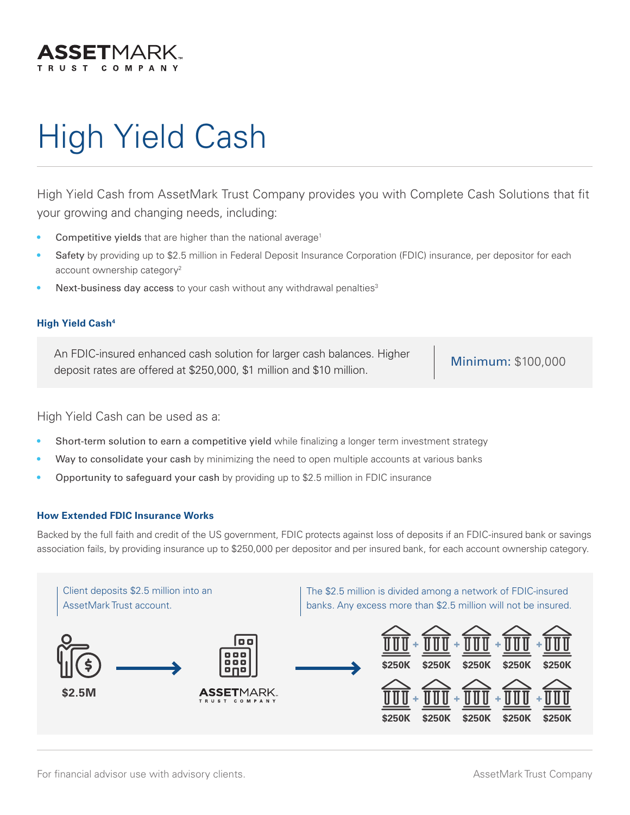

# High Yield Cash

High Yield Cash from AssetMark Trust Company provides you with Complete Cash Solutions that fit your growing and changing needs, including:

- Competitive yields that are higher than the national average<sup>1</sup>
- Safety by providing up to \$2.5 million in Federal Deposit Insurance Corporation (FDIC) insurance, per depositor for each account ownership category<sup>2</sup>
- Next-business day access to your cash without any withdrawal penalties<sup>3</sup>

#### **High Yield Cash4**

An FDIC-insured enhanced cash solution for larger cash balances. Higher An FDIC-insured emianced cash solution for larger cash balances. Figher Minimum: \$100,000<br>deposit rates are offered at \$250,000, \$1 million and \$10 million.

High Yield Cash can be used as a:

- Short-term solution to earn a competitive yield while finalizing a longer term investment strategy
- Way to consolidate your cash by minimizing the need to open multiple accounts at various banks
- Opportunity to safeguard your cash by providing up to \$2.5 million in FDIC insurance

#### **How Extended FDIC Insurance Works**

Backed by the full faith and credit of the US government, FDIC protects against loss of deposits if an FDIC-insured bank or savings association fails, by providing insurance up to \$250,000 per depositor and per insured bank, for each account ownership category.